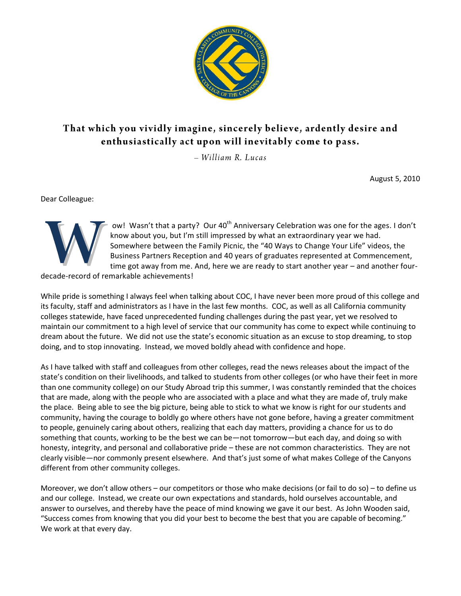

# That which you vividly imagine, sincerely believe, ardently desire and enthusiastically act upon will inevitably come to pass.

 $-$  William R. Lucas

August 5, 2010

Dear Colleague:



ow! Wasn't that a party? Our 40<sup>th</sup> Anniversary Celebration was one for the ages. I don't know about you, but I'm still impressed by what an extraordinary year we had. Somewhere between the Family Picnic, the "40 Ways to Change Your Life" videos, the Business Partners Reception and 40 years of graduates represented at Commencement, time got away from me. And, here we are ready to start another year – and another four-

decade-record of remarkable achievements!

While pride is something I always feel when talking about COC, I have never been more proud of this college and its faculty, staff and administrators as I have in the last few months. COC, as well as all California community colleges statewide, have faced unprecedented funding challenges during the past year, yet we resolved to maintain our commitment to a high level of service that our community has come to expect while continuing to dream about the future. We did not use the state's economic situation as an excuse to stop dreaming, to stop doing, and to stop innovating. Instead, we moved boldly ahead with confidence and hope.

As I have talked with staff and colleagues from other colleges, read the news releases about the impact of the state's condition on their livelihoods, and talked to students from other colleges (or who have their feet in more than one community college) on our Study Abroad trip this summer, I was constantly reminded that the choices that are made, along with the people who are associated with a place and what they are made of, truly make the place. Being able to see the big picture, being able to stick to what we know is right for our students and community, having the courage to boldly go where others have not gone before, having a greater commitment to people, genuinely caring about others, realizing that each day matters, providing a chance for us to do something that counts, working to be the best we can be—not tomorrow—but each day, and doing so with honesty, integrity, and personal and collaborative pride – these are not common characteristics. They are not clearly visible—nor commonly present elsewhere. And that's just some of what makes College of the Canyons different from other community colleges.

Moreover, we don't allow others – our competitors or those who make decisions (or fail to do so) – to define us and our college. Instead, we create our own expectations and standards, hold ourselves accountable, and answer to ourselves, and thereby have the peace of mind knowing we gave it our best. As John Wooden said, "Success comes from knowing that you did your best to become the best that you are capable of becoming." We work at that every day.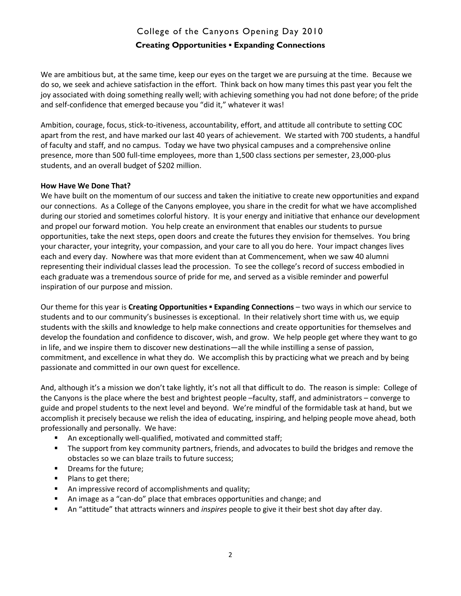# College of the Canyons Opening Day 2010 **Creating Opportunities ▪ Expanding Connections**

We are ambitious but, at the same time, keep our eyes on the target we are pursuing at the time. Because we do so, we seek and achieve satisfaction in the effort. Think back on how many times this past year you felt the joy associated with doing something really well; with achieving something you had not done before; of the pride and self-confidence that emerged because you "did it," whatever it was!

Ambition, courage, focus, stick-to-itiveness, accountability, effort, and attitude all contribute to setting COC apart from the rest, and have marked our last 40 years of achievement. We started with 700 students, a handful of faculty and staff, and no campus. Today we have two physical campuses and a comprehensive online presence, more than 500 full-time employees, more than 1,500 class sections per semester, 23,000-plus students, and an overall budget of \$202 million.

#### **How Have We Done That?**

We have built on the momentum of our success and taken the initiative to create new opportunities and expand our connections. As a College of the Canyons employee, you share in the credit for what we have accomplished during our storied and sometimes colorful history. It is your energy and initiative that enhance our development and propel our forward motion. You help create an environment that enables our students to pursue opportunities, take the next steps, open doors and create the futures they envision for themselves. You bring your character, your integrity, your compassion, and your care to all you do here. Your impact changes lives each and every day. Nowhere was that more evident than at Commencement, when we saw 40 alumni representing their individual classes lead the procession. To see the college's record of success embodied in each graduate was a tremendous source of pride for me, and served as a visible reminder and powerful inspiration of our purpose and mission.

Our theme for this year is **Creating Opportunities ▪ Expanding Connections** – two ways in which our service to students and to our community's businesses is exceptional. In their relatively short time with us, we equip students with the skills and knowledge to help make connections and create opportunities for themselves and develop the foundation and confidence to discover, wish, and grow. We help people get where they want to go in life, and we inspire them to discover new destinations—all the while instilling a sense of passion, commitment, and excellence in what they do. We accomplish this by practicing what we preach and by being passionate and committed in our own quest for excellence.

And, although it's a mission we don't take lightly, it's not all that difficult to do. The reason is simple: College of the Canyons is the place where the best and brightest people –faculty, staff, and administrators – converge to guide and propel students to the next level and beyond. We're mindful of the formidable task at hand, but we accomplish it precisely because we relish the idea of educating, inspiring, and helping people move ahead, both professionally and personally. We have:

- An exceptionally well-qualified, motivated and committed staff;
- The support from key community partners, friends, and advocates to build the bridges and remove the obstacles so we can blaze trails to future success;
- **•** Dreams for the future;
- Plans to get there;
- **An impressive record of accomplishments and quality;**
- An image as a "can-do" place that embraces opportunities and change; and
- An "attitude" that attracts winners and *inspires* people to give it their best shot day after day.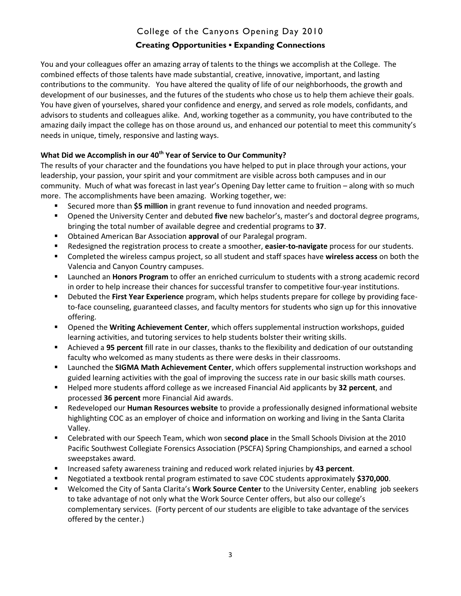### **Creating Opportunities ▪ Expanding Connections**

You and your colleagues offer an amazing array of talents to the things we accomplish at the College. The combined effects of those talents have made substantial, creative, innovative, important, and lasting contributions to the community. You have altered the quality of life of our neighborhoods, the growth and development of our businesses, and the futures of the students who chose us to help them achieve their goals. You have given of yourselves, shared your confidence and energy, and served as role models, confidants, and advisors to students and colleagues alike. And, working together as a community, you have contributed to the amazing daily impact the college has on those around us, and enhanced our potential to meet this community's needs in unique, timely, responsive and lasting ways.

### **What Did we Accomplish in our 40th Year of Service to Our Community?**

The results of your character and the foundations you have helped to put in place through your actions, your leadership, your passion, your spirit and your commitment are visible across both campuses and in our community. Much of what was forecast in last year's Opening Day letter came to fruition – along with so much more. The accomplishments have been amazing. Working together, we:

- Secured more than **\$5 million** in grant revenue to fund innovation and needed programs.
- Opened the University Center and debuted **five** new bachelor's, master's and doctoral degree programs, bringing the total number of available degree and credential programs to **37**.
- Obtained American Bar Association **approval** of our Paralegal program.
- Redesigned the registration process to create a smoother, **easier-to-navigate** process for our students.
- Completed the wireless campus project, so all student and staff spaces have **wireless access** on both the Valencia and Canyon Country campuses.
- Launched an **Honors Program** to offer an enriched curriculum to students with a strong academic record in order to help increase their chances for successful transfer to competitive four-year institutions.
- Debuted the **First Year Experience** program, which helps students prepare for college by providing faceto-face counseling, guaranteed classes, and faculty mentors for students who sign up for this innovative offering.
- Opened the **Writing Achievement Center**, which offers supplemental instruction workshops, guided learning activities, and tutoring services to help students bolster their writing skills.
- Achieved a **95 percent** fill rate in our classes, thanks to the flexibility and dedication of our outstanding faculty who welcomed as many students as there were desks in their classrooms.
- Launched the **SIGMA Math Achievement Center**, which offers supplemental instruction workshops and guided learning activities with the goal of improving the success rate in our basic skills math courses.
- Helped more students afford college as we increased Financial Aid applicants by **32 percent**, and processed **36 percent** more Financial Aid awards.
- Redeveloped our **Human Resources website** to provide a professionally designed informational website highlighting COC as an employer of choice and information on working and living in the Santa Clarita Valley.
- Celebrated with our Speech Team, which won s**econd place** in the Small Schools Division at the 2010 Pacific Southwest Collegiate Forensics Association (PSCFA) Spring Championships, and earned a school sweepstakes award.
- **Increased safety awareness training and reduced work related injuries by 43 percent.**
- Negotiated a textbook rental program estimated to save COC students approximately **\$370,000**.
- Welcomed the City of Santa Clarita's **Work Source Center** to the University Center, enabling job seekers to take advantage of not only what the Work Source Center offers, but also our college's complementary services. (Forty percent of our students are eligible to take advantage of the services offered by the center.)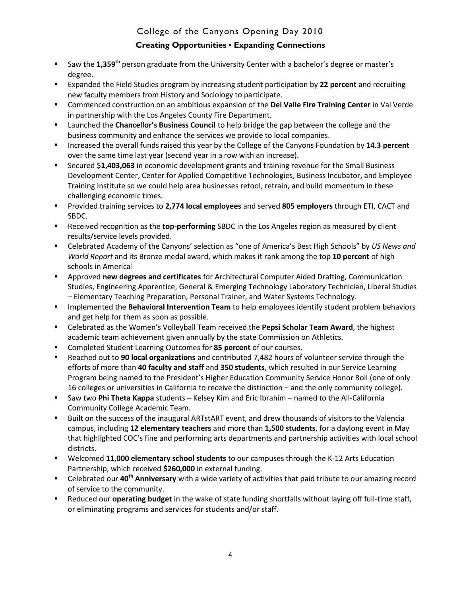### **Creating Opportunities ▪ Expanding Connections**

- Saw the **1,359th** person graduate from the University Center with a bachelor's degree or master's degree.
- Expanded the Field Studies program by increasing student participation by **22 percent** and recruiting new faculty members from History and Sociology to participate.
- Commenced construction on an ambitious expansion of the **Del Valle Fire Training Center** in Val Verde in partnership with the Los Angeles County Fire Department.
- Launched the **Chancellor's Business Council** to help bridge the gap between the college and the business community and enhance the services we provide to local companies.
- Increased the overall funds raised this year by the College of the Canyons Foundation by **14.3 percent** over the same time last year (second year in a row with an increase).
- Secured \$**1,403,063** in economic development grants and training revenue for the Small Business Development Center, Center for Applied Competitive Technologies, Business Incubator, and Employee Training Institute so we could help area businesses retool, retrain, and build momentum in these challenging economic times.
- Provided training services to **2,774 local employees** and served **805 employers** through ETI, CACT and SBDC.
- **EXEC** Received recognition as the **top-performing** SBDC in the Los Angeles region as measured by client results/service levels provided.
- Celebrated Academy of the Canyons' selection as "one of America's Best High Schools" by *US News and World Report* and its Bronze medal award, which makes it rank among the top **10 percent** of high schools in America!
- Approved **new degrees and certificates** for Architectural Computer Aided Drafting, Communication Studies, Engineering Apprentice, General & Emerging Technology Laboratory Technician, Liberal Studies – Elementary Teaching Preparation, Personal Trainer, and Water Systems Technology.
- **IMPLEM** Implemented the **Behavioral Intervention Team** to help employees identify student problem behaviors and get help for them as soon as possible.
- Celebrated as the Women's Volleyball Team received the **Pepsi Scholar Team Award**, the highest academic team achievement given annually by the state Commission on Athletics.
- Completed Student Learning Outcomes for **85 percent** of our courses.
- Reached out to **90 local organizations** and contributed 7,482 hours of volunteer service through the efforts of more than **40 faculty and staff** and **350 students**, which resulted in our Service Learning Program being named to the President's Higher Education Community Service Honor Roll (one of only 16 colleges or universities in California to receive the distinction – and the only community college).
- Saw two **Phi Theta Kappa** students Kelsey Kim and Eric Ibrahim named to the All-California Community College Academic Team.
- Built on the success of the inaugural ARTstART event, and drew thousands of visitors to the Valencia campus, including **12 elementary teachers** and more than **1,500 students**, for a daylong event in May that highlighted COC's fine and performing arts departments and partnership activities with local school districts.
- Welcomed **11,000 elementary school students** to our campuses through the K-12 Arts Education Partnership, which received **\$260,000** in external funding.
- Celebrated our **40th Anniversary** with a wide variety of activities that paid tribute to our amazing record of service to the community.
- Reduced our **operating budget** in the wake of state funding shortfalls without laying off full-time staff, or eliminating programs and services for students and/or staff.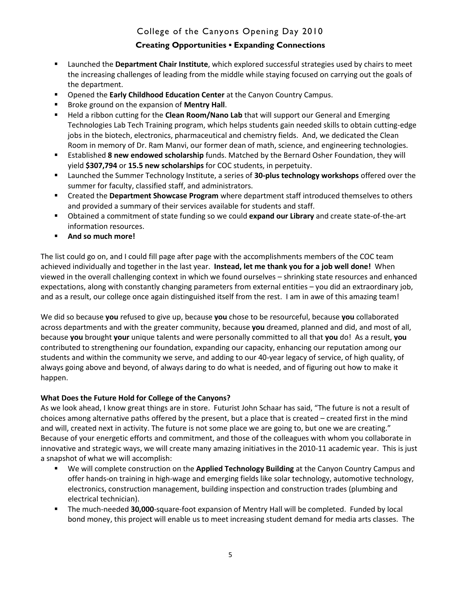### **Creating Opportunities ▪ Expanding Connections**

- Launched the **Department Chair Institute**, which explored successful strategies used by chairs to meet the increasing challenges of leading from the middle while staying focused on carrying out the goals of the department.
- Opened the **Early Childhood Education Center** at the Canyon Country Campus.
- **Broke ground on the expansion of Mentry Hall.**
- Held a ribbon cutting for the **Clean Room/Nano Lab** that will support our General and Emerging Technologies Lab Tech Training program, which helps students gain needed skills to obtain cutting-edge jobs in the biotech, electronics, pharmaceutical and chemistry fields. And, we dedicated the Clean Room in memory of Dr. Ram Manvi, our former dean of math, science, and engineering technologies.
- Established **8 new endowed scholarship** funds. Matched by the Bernard Osher Foundation, they will yield **\$307,794** or **15.5 new scholarships** for COC students, in perpetuity.
- Launched the Summer Technology Institute, a series of **30-plus technology workshops** offered over the summer for faculty, classified staff, and administrators.
- Created the **Department Showcase Program** where department staff introduced themselves to others and provided a summary of their services available for students and staff.
- Obtained a commitment of state funding so we could **expand our Library** and create state-of-the-art information resources.
- **And so much more!**

The list could go on, and I could fill page after page with the accomplishments members of the COC team achieved individually and together in the last year. **Instead, let me thank you for a job well done!** When viewed in the overall challenging context in which we found ourselves – shrinking state resources and enhanced expectations, along with constantly changing parameters from external entities – you did an extraordinary job, and as a result, our college once again distinguished itself from the rest. I am in awe of this amazing team!

We did so because **you** refused to give up, because **you** chose to be resourceful, because **you** collaborated across departments and with the greater community, because **you** dreamed, planned and did, and most of all, because **you** brought **your** unique talents and were personally committed to all that **you** do! As a result, **you** contributed to strengthening our foundation, expanding our capacity, enhancing our reputation among our students and within the community we serve, and adding to our 40-year legacy of service, of high quality, of always going above and beyond, of always daring to do what is needed, and of figuring out how to make it happen.

#### **What Does the Future Hold for College of the Canyons?**

As we look ahead, I know great things are in store. Futurist John Schaar has said, "The future is not a result of choices among alternative paths offered by the present, but a place that is created – created first in the mind and will, created next in activity. The future is not some place we are going to, but one we are creating." Because of your energetic efforts and commitment, and those of the colleagues with whom you collaborate in innovative and strategic ways, we will create many amazing initiatives in the 2010-11 academic year. This is just a snapshot of what we will accomplish:

- We will complete construction on the **Applied Technology Building** at the Canyon Country Campus and offer hands-on training in high-wage and emerging fields like solar technology, automotive technology, electronics, construction management, building inspection and construction trades (plumbing and electrical technician).
- The much-needed **30,000**-square-foot expansion of Mentry Hall will be completed. Funded by local bond money, this project will enable us to meet increasing student demand for media arts classes. The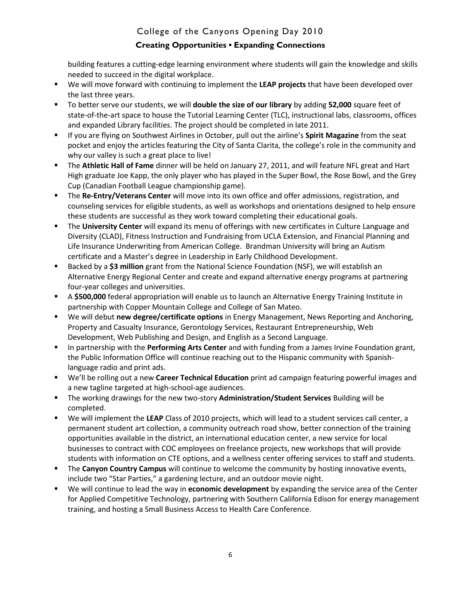### **Creating Opportunities ▪ Expanding Connections**

building features a cutting-edge learning environment where students will gain the knowledge and skills needed to succeed in the digital workplace.

- We will move forward with continuing to implement the **LEAP projects** that have been developed over the last three years.
- To better serve our students, we will **double the size of our library** by adding **52,000** square feet of state-of-the-art space to house the Tutorial Learning Center (TLC), instructional labs, classrooms, offices and expanded Library facilities. The project should be completed in late 2011.
- If you are flying on Southwest Airlines in October, pull out the airline's **Spirit Magazine** from the seat pocket and enjoy the articles featuring the City of Santa Clarita, the college's role in the community and why our valley is such a great place to live!
- The **Athletic Hall of Fame** dinner will be held on January 27, 2011, and will feature NFL great and Hart High graduate Joe Kapp, the only player who has played in the Super Bowl, the Rose Bowl, and the Grey Cup (Canadian Football League championship game).
- **The Re-Entry/Veterans Center** will move into its own office and offer admissions, registration, and counseling services for eligible students, as well as workshops and orientations designed to help ensure these students are successful as they work toward completing their educational goals.
- The **University Center** will expand its menu of offerings with new certificates in Culture Language and Diversity (CLAD), Fitness Instruction and Fundraising from UCLA Extension, and Financial Planning and Life Insurance Underwriting from American College. Brandman University will bring an Autism certificate and a Master's degree in Leadership in Early Childhood Development.
- **Backed by a \$3 million** grant from the National Science Foundation (NSF), we will establish an Alternative Energy Regional Center and create and expand alternative energy programs at partnering four-year colleges and universities.
- A **\$500,000** federal appropriation will enable us to launch an Alternative Energy Training Institute in partnership with Copper Mountain College and College of San Mateo.
- We will debut **new degree/certificate options** in Energy Management, News Reporting and Anchoring, Property and Casualty Insurance, Gerontology Services, Restaurant Entrepreneurship, Web Development, Web Publishing and Design, and English as a Second Language.
- **In partnership with the Performing Arts Center** and with funding from a James Irvine Foundation grant, the Public Information Office will continue reaching out to the Hispanic community with Spanishlanguage radio and print ads.
- We'll be rolling out a new **Career Technical Education** print ad campaign featuring powerful images and a new tagline targeted at high-school-age audiences.
- The working drawings for the new two-story **Administration/Student Services** Building will be completed.
- We will implement the **LEAP** Class of 2010 projects, which will lead to a student services call center, a permanent student art collection, a community outreach road show, better connection of the training opportunities available in the district, an international education center, a new service for local businesses to contract with COC employees on freelance projects, new workshops that will provide students with information on CTE options, and a wellness center offering services to staff and students.
- The **Canyon Country Campus** will continue to welcome the community by hosting innovative events, include two "Star Parties," a gardening lecture, and an outdoor movie night.
- We will continue to lead the way in **economic development** by expanding the service area of the Center for Applied Competitive Technology, partnering with Southern California Edison for energy management training, and hosting a Small Business Access to Health Care Conference.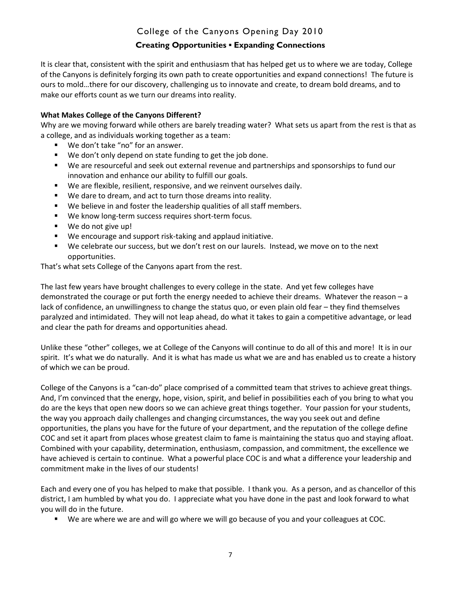### **Creating Opportunities ▪ Expanding Connections**

It is clear that, consistent with the spirit and enthusiasm that has helped get us to where we are today, College of the Canyons is definitely forging its own path to create opportunities and expand connections! The future is ours to mold…there for our discovery, challenging us to innovate and create, to dream bold dreams, and to make our efforts count as we turn our dreams into reality.

#### **What Makes College of the Canyons Different?**

Why are we moving forward while others are barely treading water? What sets us apart from the rest is that as a college, and as individuals working together as a team:

- We don't take "no" for an answer.
- We don't only depend on state funding to get the job done.
- We are resourceful and seek out external revenue and partnerships and sponsorships to fund our innovation and enhance our ability to fulfill our goals.
- We are flexible, resilient, responsive, and we reinvent ourselves daily.
- We dare to dream, and act to turn those dreams into reality.
- We believe in and foster the leadership qualities of all staff members.
- We know long-term success requires short-term focus.
- We do not give up!
- We encourage and support risk-taking and applaud initiative.
- We celebrate our success, but we don't rest on our laurels. Instead, we move on to the next opportunities.

That's what sets College of the Canyons apart from the rest.

The last few years have brought challenges to every college in the state. And yet few colleges have demonstrated the courage or put forth the energy needed to achieve their dreams. Whatever the reason – a lack of confidence, an unwillingness to change the status quo, or even plain old fear – they find themselves paralyzed and intimidated. They will not leap ahead, do what it takes to gain a competitive advantage, or lead and clear the path for dreams and opportunities ahead.

Unlike these "other" colleges, we at College of the Canyons will continue to do all of this and more! It is in our spirit. It's what we do naturally. And it is what has made us what we are and has enabled us to create a history of which we can be proud.

College of the Canyons is a "can-do" place comprised of a committed team that strives to achieve great things. And, I'm convinced that the energy, hope, vision, spirit, and belief in possibilities each of you bring to what you do are the keys that open new doors so we can achieve great things together. Your passion for your students, the way you approach daily challenges and changing circumstances, the way you seek out and define opportunities, the plans you have for the future of your department, and the reputation of the college define COC and set it apart from places whose greatest claim to fame is maintaining the status quo and staying afloat. Combined with your capability, determination, enthusiasm, compassion, and commitment, the excellence we have achieved is certain to continue. What a powerful place COC is and what a difference your leadership and commitment make in the lives of our students!

Each and every one of you has helped to make that possible. I thank you. As a person, and as chancellor of this district, I am humbled by what you do. I appreciate what you have done in the past and look forward to what you will do in the future.

We are where we are and will go where we will go because of you and your colleagues at COC.